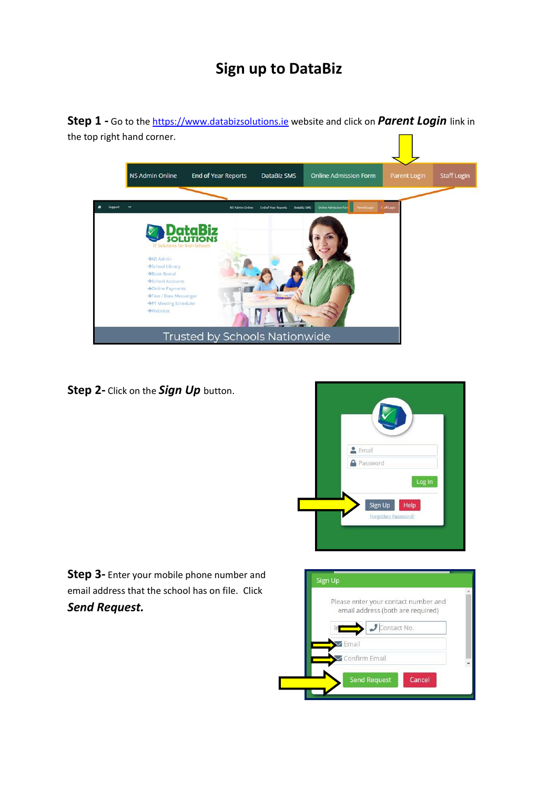## **Sign up to DataBiz**

**Step 1 -** Go to the [https://www.databizsolutions.ie](https://www.databizsolutions.ie/) website and click on *Parent Login* link in the top right hand corner.



**Step 2-** Click on the *Sign Up* button.



**Step 3-** Enter your mobile phone number and email address that the school has on file. Click *Send Request.*

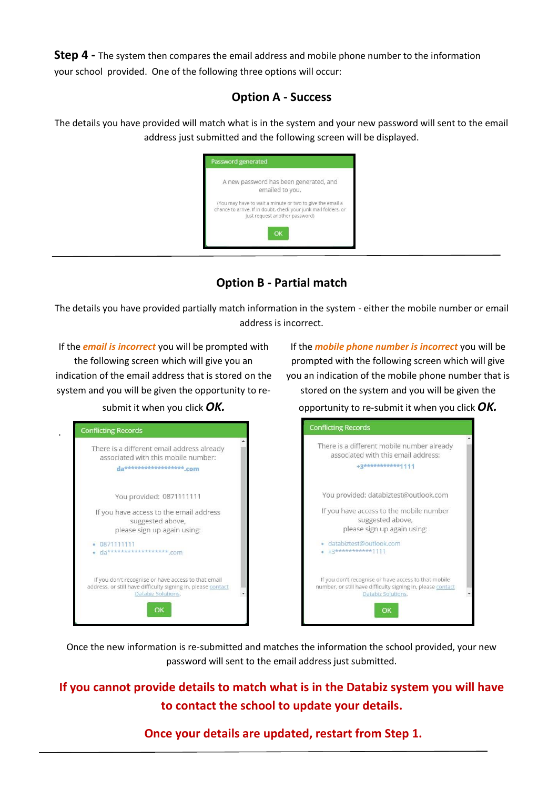**Step 4** - The system then compares the email address and mobile phone number to the information your school provided. One of the following three options will occur:

## **Option A - Success**

The details you have provided will match what is in the system and your new password will sent to the email address just submitted and the following screen will be displayed.



**Option B - Partial match**

The details you have provided partially match information in the system - either the mobile number or email address is incorrect.

If the *email is incorrect* you will be prompted with the following screen which will give you an indication of the email address that is stored on the system and you will be given the opportunity to re-

If the *mobile phone number is incorrect* you will be prompted with the following screen which will give you an indication of the mobile phone number that is stored on the system and you will be given the

submit it when you click *OK.*

.





Once the new information is re-submitted and matches the information the school provided, your new password will sent to the email address just submitted.

**If you cannot provide details to match what is in the Databiz system you will have to contact the school to update your details.**

**Once your details are updated, restart from Step 1.**

opportunity to re-submit it when you click *OK.*